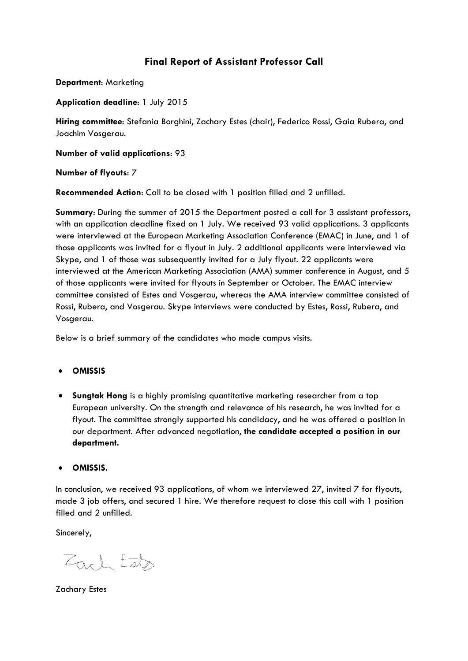# **Final Report of Assistant Professor Call**

**Department**: Marketing

## **Application deadline**: 1 July 2015

**Hiring committee**: Stefania Borghini, Zachary Estes (chair), Federico Rossi, Gaia Rubera, and Joachim Vosgerau.

**Number of valid applications**: 93

### **Number of flyouts**: 7

**Recommended Action**: Call to be closed with 1 position filled and 2 unfilled.

**Summary**: During the summer of 2015 the Department posted a call for 3 assistant professors, with an application deadline fixed on 1 July. We received 93 valid applications. 3 applicants were interviewed at the European Marketing Association Conference (EMAC) in June, and 1 of those applicants was invited for a flyout in July. 2 additional applicants were interviewed via Skype, and 1 of those was subsequently invited for a July flyout. 22 applicants were interviewed at the American Marketing Association (AMA) summer conference in August, and 5 of those applicants were invited for flyouts in September or October. The EMAC interview committee consisted of Estes and Vosgerau, whereas the AMA interview committee consisted of Rossi, Rubera, and Vosgerau. Skype interviews were conducted by Estes, Rossi, Rubera, and Vosgerau.

Below is a brief summary of the candidates who made campus visits.

### • **OMISSIS**

• **Sungtak Hong** is a highly promising quantitative marketing researcher from a top European university. On the strength and relevance of his research, he was invited for a flyout. The committee strongly supported his candidacy, and he was offered a position in our department. After advanced negotiation, **the candidate accepted a position in our department.**

### • **OMISSIS.**

In conclusion, we received 93 applications, of whom we interviewed 27, invited 7 for flyouts, made 3 job offers, and secured 1 hire. We therefore request to close this call with 1 position filled and 2 unfilled.

Sincerely,

Zach Este

Zachary Estes